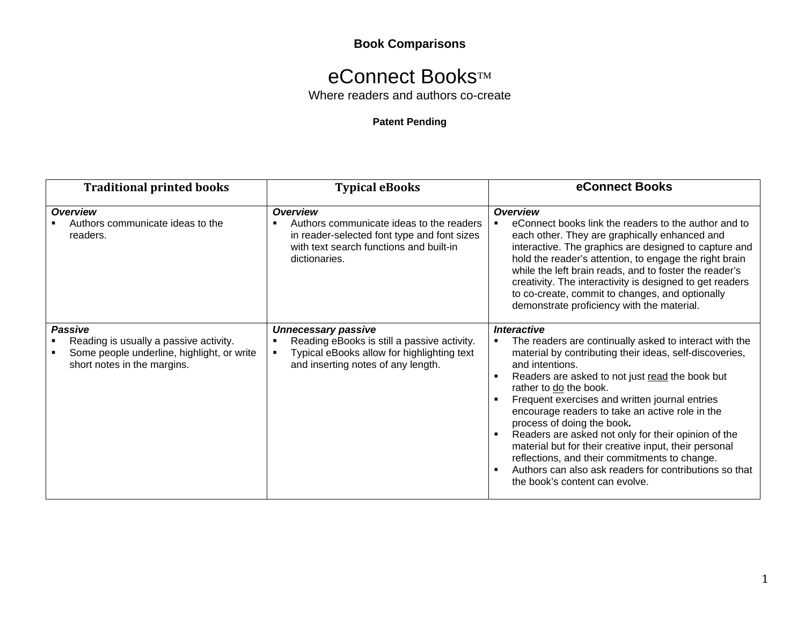## **Book Comparisons**

## eConnect Books™

Where readers and authors co-create

## **Patent Pending**

| <b>Traditional printed books</b>                                                                                                      | <b>Typical eBooks</b>                                                                                                                                                  | eConnect Books                                                                                                                                                                                                                                                                                                                                                                                                                                                                                                                                                                                                                                 |
|---------------------------------------------------------------------------------------------------------------------------------------|------------------------------------------------------------------------------------------------------------------------------------------------------------------------|------------------------------------------------------------------------------------------------------------------------------------------------------------------------------------------------------------------------------------------------------------------------------------------------------------------------------------------------------------------------------------------------------------------------------------------------------------------------------------------------------------------------------------------------------------------------------------------------------------------------------------------------|
| <b>Overview</b><br>Authors communicate ideas to the<br>readers.                                                                       | <b>Overview</b><br>Authors communicate ideas to the readers<br>in reader-selected font type and font sizes<br>with text search functions and built-in<br>dictionaries. | <b>Overview</b><br>eConnect books link the readers to the author and to<br>each other. They are graphically enhanced and<br>interactive. The graphics are designed to capture and<br>hold the reader's attention, to engage the right brain<br>while the left brain reads, and to foster the reader's<br>creativity. The interactivity is designed to get readers<br>to co-create, commit to changes, and optionally<br>demonstrate proficiency with the material.                                                                                                                                                                             |
| <b>Passive</b><br>Reading is usually a passive activity.<br>Some people underline, highlight, or write<br>short notes in the margins. | <b>Unnecessary passive</b><br>Reading eBooks is still a passive activity.<br>Typical eBooks allow for highlighting text<br>and inserting notes of any length.          | <i><b>Interactive</b></i><br>The readers are continually asked to interact with the<br>material by contributing their ideas, self-discoveries,<br>and intentions.<br>Readers are asked to not just read the book but<br>rather to do the book.<br>Frequent exercises and written journal entries<br>encourage readers to take an active role in the<br>process of doing the book.<br>Readers are asked not only for their opinion of the<br>material but for their creative input, their personal<br>reflections, and their commitments to change.<br>Authors can also ask readers for contributions so that<br>the book's content can evolve. |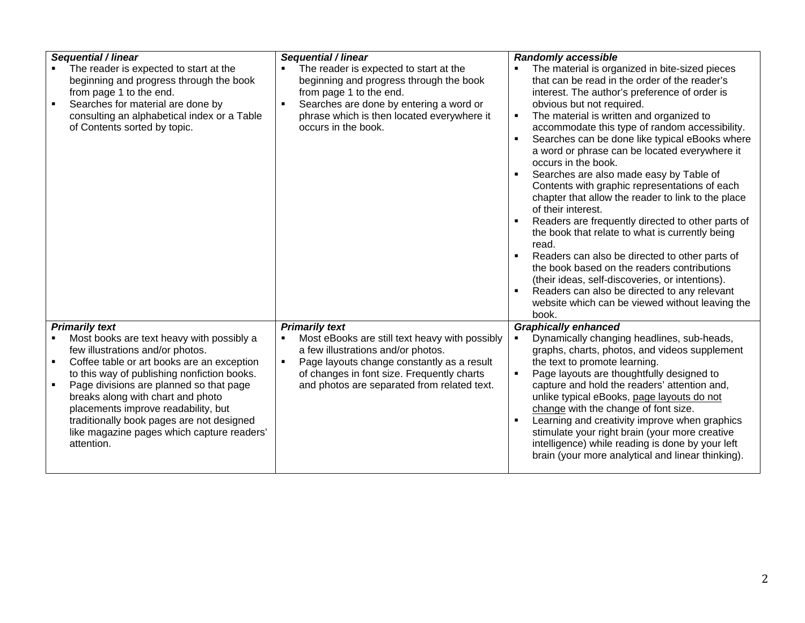| The reader is expected to start at the<br>The reader is expected to start at the<br>The material is organized in bite-sized pieces<br>that can be read in the order of the reader's<br>beginning and progress through the book<br>beginning and progress through the book<br>from page 1 to the end.<br>from page 1 to the end.<br>interest. The author's preference of order is<br>Searches for material are done by<br>Searches are done by entering a word or<br>obvious but not required.<br>$\blacksquare$<br>The material is written and organized to<br>consulting an alphabetical index or a Table<br>phrase which is then located everywhere it<br>$\blacksquare$<br>of Contents sorted by topic.<br>occurs in the book.<br>accommodate this type of random accessibility.<br>$\blacksquare$<br>a word or phrase can be located everywhere it<br>occurs in the book.<br>Searches are also made easy by Table of<br>$\blacksquare$<br>Contents with graphic representations of each<br>chapter that allow the reader to link to the place<br>of their interest.<br>$\blacksquare$<br>the book that relate to what is currently being<br>read.<br>Readers can also be directed to other parts of<br>the book based on the readers contributions<br>(their ideas, self-discoveries, or intentions).<br>Readers can also be directed to any relevant<br>book.<br><b>Primarily text</b><br><b>Primarily text</b><br><b>Graphically enhanced</b><br>Most books are text heavy with possibly a<br>Most eBooks are still text heavy with possibly<br>Dynamically changing headlines, sub-heads,<br>$\blacksquare$<br>few illustrations and/or photos.<br>a few illustrations and/or photos.<br>graphs, charts, photos, and videos supplement<br>Page layouts change constantly as a result<br>Coffee table or art books are an exception<br>the text to promote learning.<br>$\blacksquare$<br>$\blacksquare$<br>to this way of publishing nonfiction books.<br>of changes in font size. Frequently charts<br>Page layouts are thoughtfully designed to<br>$\blacksquare$<br>$\blacksquare$<br>Page divisions are planned so that page<br>and photos are separated from related text.<br>capture and hold the readers' attention and,<br>breaks along with chart and photo<br>unlike typical eBooks, page layouts do not<br>placements improve readability, but<br>change with the change of font size.<br>traditionally book pages are not designed<br>Learning and creativity improve when graphics<br>stimulate your right brain (your more creative<br>like magazine pages which capture readers' |                     |                     |                                                                                                                                   |
|--------------------------------------------------------------------------------------------------------------------------------------------------------------------------------------------------------------------------------------------------------------------------------------------------------------------------------------------------------------------------------------------------------------------------------------------------------------------------------------------------------------------------------------------------------------------------------------------------------------------------------------------------------------------------------------------------------------------------------------------------------------------------------------------------------------------------------------------------------------------------------------------------------------------------------------------------------------------------------------------------------------------------------------------------------------------------------------------------------------------------------------------------------------------------------------------------------------------------------------------------------------------------------------------------------------------------------------------------------------------------------------------------------------------------------------------------------------------------------------------------------------------------------------------------------------------------------------------------------------------------------------------------------------------------------------------------------------------------------------------------------------------------------------------------------------------------------------------------------------------------------------------------------------------------------------------------------------------------------------------------------------------------------------------------------------------------------------------------------------------------------------------------------------------------------------------------------------------------------------------------------------------------------------------------------------------------------------------------------------------------------------------------------------------------------------------------------------------------------------------------------------------------------------------------------------------------------------------------------|---------------------|---------------------|-----------------------------------------------------------------------------------------------------------------------------------|
|                                                                                                                                                                                                                                                                                                                                                                                                                                                                                                                                                                                                                                                                                                                                                                                                                                                                                                                                                                                                                                                                                                                                                                                                                                                                                                                                                                                                                                                                                                                                                                                                                                                                                                                                                                                                                                                                                                                                                                                                                                                                                                                                                                                                                                                                                                                                                                                                                                                                                                                                                                                                        | Sequential / linear | Sequential / linear | <b>Randomly accessible</b><br>Searches can be done like typical eBooks where<br>Readers are frequently directed to other parts of |
|                                                                                                                                                                                                                                                                                                                                                                                                                                                                                                                                                                                                                                                                                                                                                                                                                                                                                                                                                                                                                                                                                                                                                                                                                                                                                                                                                                                                                                                                                                                                                                                                                                                                                                                                                                                                                                                                                                                                                                                                                                                                                                                                                                                                                                                                                                                                                                                                                                                                                                                                                                                                        | attention.          |                     | website which can be viewed without leaving the<br>intelligence) while reading is done by your left                               |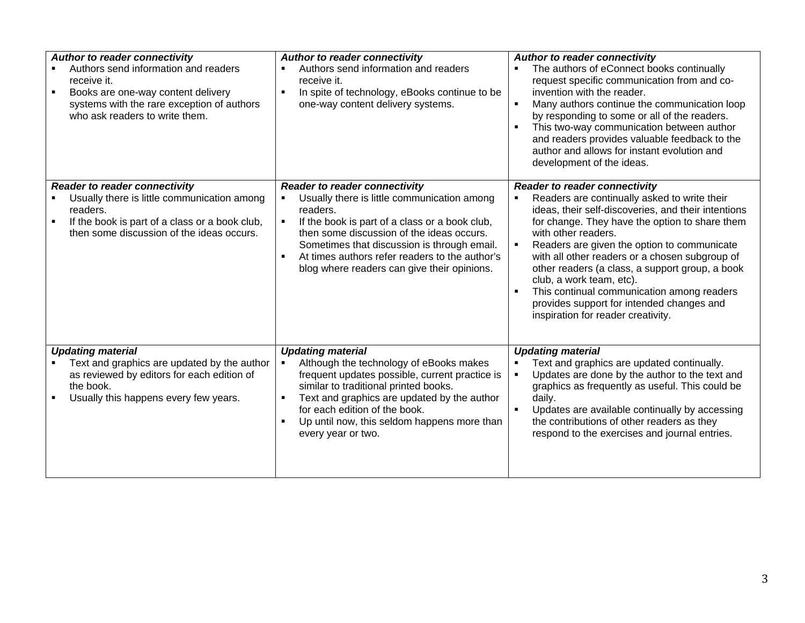| <b>Author to reader connectivity</b><br>Authors send information and readers<br>receive it.<br>Books are one-way content delivery<br>$\blacksquare$<br>systems with the rare exception of authors<br>who ask readers to write them. | Author to reader connectivity<br>Authors send information and readers<br>receive it.<br>In spite of technology, eBooks continue to be<br>$\blacksquare$<br>one-way content delivery systems.                                                                                                                                                   | <b>Author to reader connectivity</b><br>The authors of eConnect books continually<br>request specific communication from and co-<br>invention with the reader.<br>Many authors continue the communication loop<br>٠<br>by responding to some or all of the readers.<br>This two-way communication between author<br>and readers provides valuable feedback to the<br>author and allows for instant evolution and<br>development of the ideas.                                                                                              |
|-------------------------------------------------------------------------------------------------------------------------------------------------------------------------------------------------------------------------------------|------------------------------------------------------------------------------------------------------------------------------------------------------------------------------------------------------------------------------------------------------------------------------------------------------------------------------------------------|--------------------------------------------------------------------------------------------------------------------------------------------------------------------------------------------------------------------------------------------------------------------------------------------------------------------------------------------------------------------------------------------------------------------------------------------------------------------------------------------------------------------------------------------|
| <b>Reader to reader connectivity</b><br>Usually there is little communication among<br>readers.<br>If the book is part of a class or a book club,<br>then some discussion of the ideas occurs.                                      | <b>Reader to reader connectivity</b><br>Usually there is little communication among<br>readers.<br>If the book is part of a class or a book club,<br>then some discussion of the ideas occurs.<br>Sometimes that discussion is through email.<br>At times authors refer readers to the author's<br>blog where readers can give their opinions. | <b>Reader to reader connectivity</b><br>Readers are continually asked to write their<br>ideas, their self-discoveries, and their intentions<br>for change. They have the option to share them<br>with other readers.<br>Readers are given the option to communicate<br>with all other readers or a chosen subgroup of<br>other readers (a class, a support group, a book<br>club, a work team, etc).<br>This continual communication among readers<br>п<br>provides support for intended changes and<br>inspiration for reader creativity. |
| <b>Updating material</b><br>Text and graphics are updated by the author<br>as reviewed by editors for each edition of<br>the book.<br>Usually this happens every few years.                                                         | <b>Updating material</b><br>Although the technology of eBooks makes<br>frequent updates possible, current practice is<br>similar to traditional printed books.<br>Text and graphics are updated by the author<br>for each edition of the book.<br>Up until now, this seldom happens more than<br>every year or two.                            | <b>Updating material</b><br>Text and graphics are updated continually.<br>Updates are done by the author to the text and<br>graphics as frequently as useful. This could be<br>daily.<br>Updates are available continually by accessing<br>the contributions of other readers as they<br>respond to the exercises and journal entries.                                                                                                                                                                                                     |